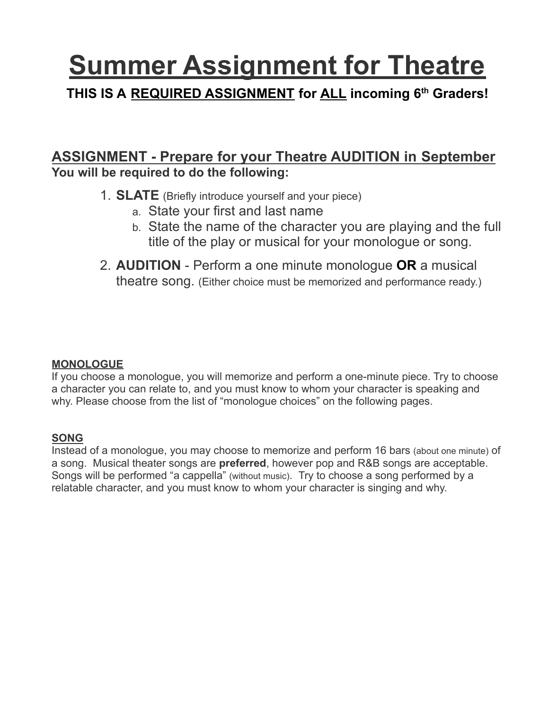# **Summer Assignment for Theatre**

## **THIS IS A REQUIRED ASSIGNMENT for ALL incoming 6th Graders!**

### **ASSIGNMENT - Prepare for your Theatre AUDITION in September You will be required to do the following:**

- 1. **SLATE** (Briefly introduce yourself and your piece)
	- a. State your first and last name
	- b. State the name of the character you are playing and the full title of the play or musical for your monologue or song.
- 2. **AUDITION** Perform a one minute monologue **OR** a musical theatre song. (Either choice must be memorized and performance ready.)

#### **MONOLOGUE**

If you choose a monologue, you will memorize and perform a one-minute piece. Try to choose a character you can relate to, and you must know to whom your character is speaking and why. Please choose from the list of "monologue choices" on the following pages.

#### **SONG**

Instead of a monologue, you may choose to memorize and perform 16 bars (about one minute) of a song. Musical theater songs are **preferred**, however pop and R&B songs are acceptable. Songs will be performed "a cappella" (without music). Try to choose a song performed by a relatable character, and you must know to whom your character is singing and why.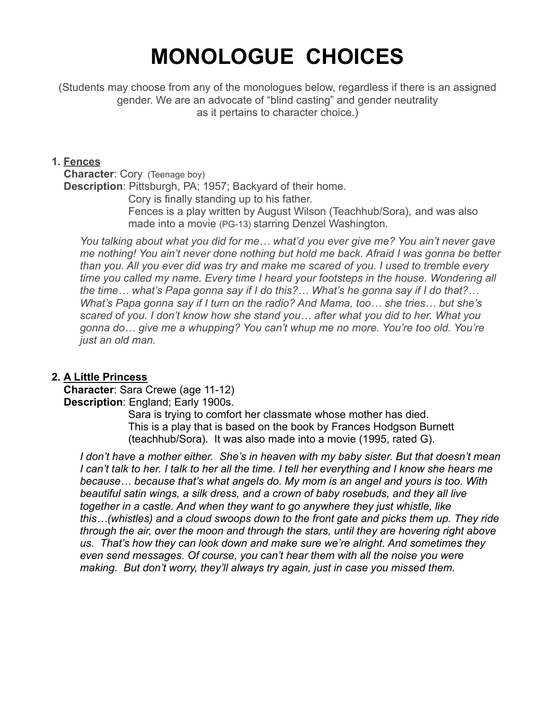# **MONOLOGUE CHOICES**

(Students may choose from any of the monologues below, regardless if there is an assigned gender. We are an advocate of "blind casting" and gender neutrality as it pertains to character choice.)

#### **1. Fences**

**Character**: Cory (Teenage boy)

**Description**: Pittsburgh, PA; 1957; Backyard of their home.

Cory is finally standing up to his father.

Fences is a play written by August Wilson (Teachhub/Sora), and was also made into a movie (PG-13) starring Denzel Washington.

*You talking about what you did for me… what'd you ever give me? You ain't never gave me nothing! You ain't never done nothing but hold me back. Afraid I was gonna be better than you. All you ever did was try and make me scared of you. I used to tremble every time you called my name. Every time I heard your footsteps in the house. Wondering all the time… what's Papa gonna say if I do this?… What's he gonna say if I do that?… What's Papa gonna say if I turn on the radio? And Mama, too… she tries… but she's scared of you. I don't know how she stand you… after what you did to her. What you gonna do… give me a whupping? You can't whup me no more. You're too old. You're just an old man.*

#### **2. A Little Princess**

**Character**: Sara Crewe (age 11-12) **Description**: England; Early 1900s.

> Sara is trying to comfort her classmate whose mother has died. This is a play that is based on the book by Frances [Hodgson Burnett](https://www.amazon.com/Frances-Hodgson-Burnett/e/B000AP8N9K?ref=sr_ntt_srch_lnk_1&qid=1624796626&sr=8-1) (teachhub/Sora). It was also made into a movie (1995, rated G).

*I don't have a mother either. She's in heaven with my baby sister. But that doesn't mean I can't talk to her. I talk to her all the time. I tell her everything and I know she hears me because… because that's what angels do. My mom is an angel and yours is too. With beautiful satin wings, a silk dress, and a crown of baby rosebuds, and they all live together in a castle. And when they want to go anywhere they just whistle, like this…(whistles) and a cloud swoops down to the front gate and picks them up. They ride through the air, over the moon and through the stars, until they are hovering right above us. That's how they can look down and make sure we're alright. And sometimes they even send messages. Of course, you can't hear them with all the noise you were making. But don't worry, they'll always try again, just in case you missed them.*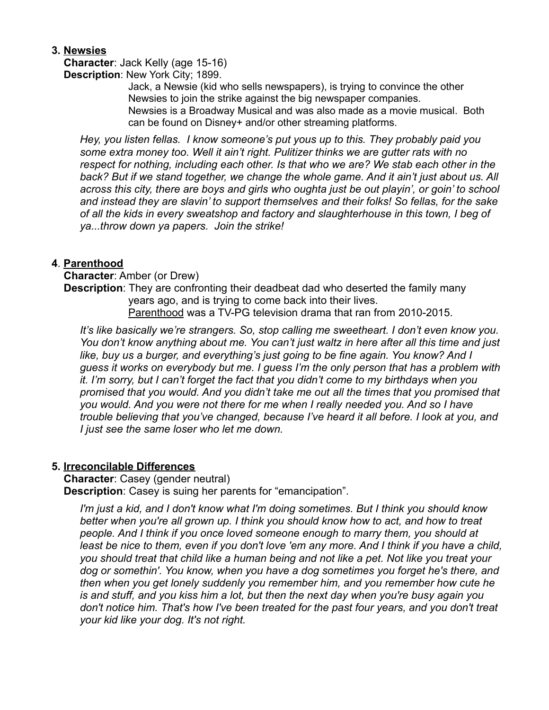#### **3. Newsies**

**Character**: Jack Kelly (age 15-16) **Description**: New York City; 1899.

> Jack, a Newsie (kid who sells newspapers), is trying to convince the other Newsies to join the strike against the big newspaper companies. Newsies is a Broadway Musical and was also made as a movie musical. Both can be found on Disney+ and/or other streaming platforms.

*Hey, you listen fellas. I know someone's put yous up to this. They probably paid you some extra money too. Well it ain't right. Pulitizer thinks we are gutter rats with no respect for nothing, including each other. Is that who we are? We stab each other in the back? But if we stand together, we change the whole game. And it ain't just about us. All across this city, there are boys and girls who oughta just be out playin', or goin' to school and instead they are slavin' to support themselves and their folks! So fellas, for the sake of all the kids in every sweatshop and factory and slaughterhouse in this town, I beg of ya...throw down ya papers. Join the strike!*

#### **4**. **Parenthood**

**Character**: Amber (or Drew) **Description**: They are confronting their deadbeat dad who deserted the family many years ago, and is trying to come back into their lives. Parenthood was a TV-PG television drama that ran from 2010-2015.

*It's like basically we're strangers. So, stop calling me sweetheart. I don't even know you. You don't know anything about me. You can't just waltz in here after all this time and just like, buy us a burger, and everything's just going to be fine again. You know? And I guess it works on everybody but me. I guess I'm the only person that has a problem with it. I'm sorry, but I can't forget the fact that you didn't come to my birthdays when you promised that you would. And you didn't take me out all the times that you promised that you would. And you were not there for me when I really needed you. And so I have trouble believing that you've changed, because I've heard it all before. I look at you, and I just see the same loser who let me down.*

#### **5. Irreconcilable Differences**

**Character**: Casey (gender neutral)

**Description**: Casey is suing her parents for "emancipation".

*I'm just a kid, and I don't know what I'm doing sometimes. But I think you should know better when you're all grown up. I think you should know how to act, and how to treat people. And I think if you once loved someone enough to marry them, you should at least be nice to them, even if you don't love 'em any more. And I think if you have a child, you should treat that child like a human being and not like a pet. Not like you treat your dog or somethin'. You know, when you have a dog sometimes you forget he's there, and then when you get lonely suddenly you remember him, and you remember how cute he is and stuff, and you kiss him a lot, but then the next day when you're busy again you don't notice him. That's how I've been treated for the past four years, and you don't treat your kid like your dog. It's not right.*